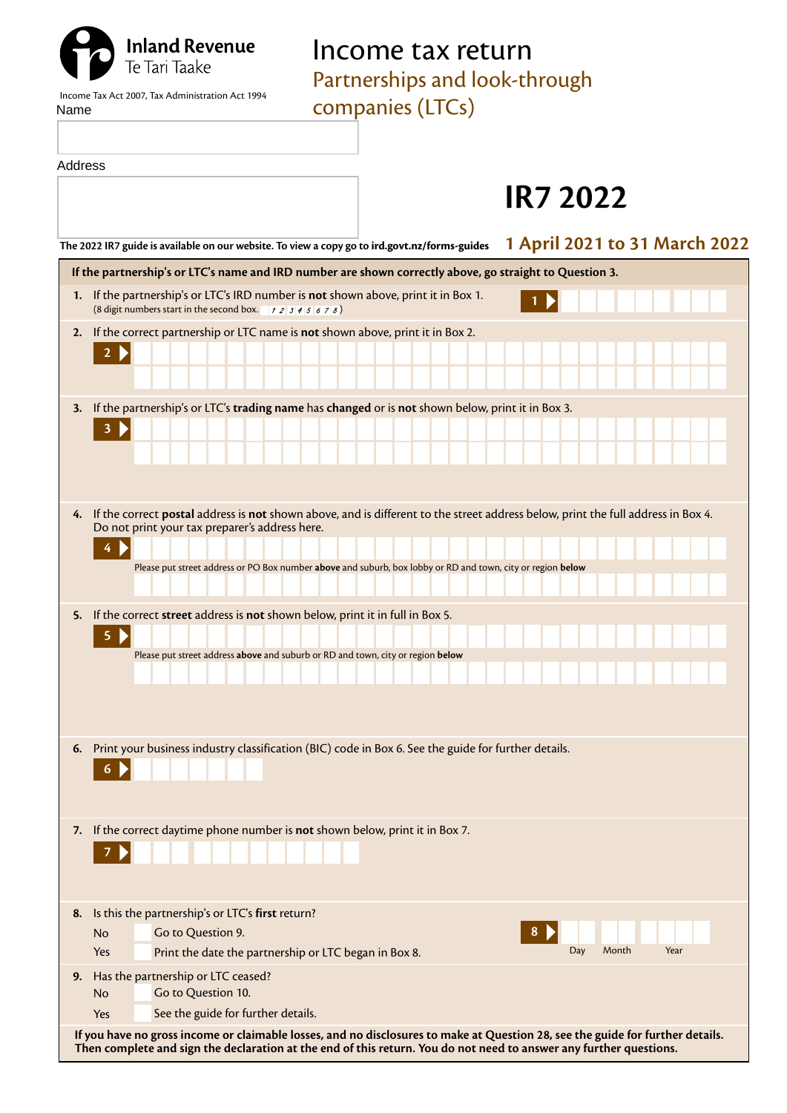## Income tax return

Partnerships and look-through

**Inland Revenue**<br>Te Tari Taake

|      | Income Tax Act 2007. Tax Administration Act 1994 |  |  |
|------|--------------------------------------------------|--|--|
| Name |                                                  |  |  |

companies (LTCs)

| Address |                                                                                                                                                                                                                                                      |
|---------|------------------------------------------------------------------------------------------------------------------------------------------------------------------------------------------------------------------------------------------------------|
|         | <b>IR7 2022</b>                                                                                                                                                                                                                                      |
|         | 1 April 2021 to 31 March 2022<br>The 2022 IR7 guide is available on our website. To view a copy go to ird.govt.nz/forms-guides                                                                                                                       |
|         | If the partnership's or LTC's name and IRD number are shown correctly above, go straight to Question 3.                                                                                                                                              |
|         | 1. If the partnership's or LTC's IRD number is not shown above, print it in Box 1.<br>(8 digit numbers start in the second box. $12345678$ )                                                                                                         |
| 2.      | If the correct partnership or LTC name is not shown above, print it in Box 2.<br>2 <sub>b</sub>                                                                                                                                                      |
| 3.      | If the partnership's or LTC's trading name has changed or is not shown below, print it in Box 3.                                                                                                                                                     |
|         | 3                                                                                                                                                                                                                                                    |
| 4.      | If the correct postal address is not shown above, and is different to the street address below, print the full address in Box 4.<br>Do not print your tax preparer's address here.                                                                   |
|         |                                                                                                                                                                                                                                                      |
|         | Please put street address or PO Box number above and suburb, box lobby or RD and town, city or region below                                                                                                                                          |
| 5.      | If the correct street address is not shown below, print it in full in Box 5.<br>5.                                                                                                                                                                   |
|         | Please put street address above and suburb or RD and town, city or region below                                                                                                                                                                      |
|         |                                                                                                                                                                                                                                                      |
| 6.      | Print your business industry classification (BIC) code in Box 6. See the guide for further details.                                                                                                                                                  |
| 7.      | If the correct daytime phone number is not shown below, print it in Box 7.                                                                                                                                                                           |
| 8.      | Is this the partnership's or LTC's first return?                                                                                                                                                                                                     |
|         | Go to Question 9.<br>8<br><b>No</b><br>Month<br>Year<br>Day<br>Print the date the partnership or LTC began in Box 8.<br>Yes                                                                                                                          |
| 9.      | Has the partnership or LTC ceased?                                                                                                                                                                                                                   |
|         | Go to Question 10.<br><b>No</b>                                                                                                                                                                                                                      |
|         | See the guide for further details.<br>Yes                                                                                                                                                                                                            |
|         | If you have no gross income or claimable losses, and no disclosures to make at Question 28, see the guide for further details.<br>Then complete and sign the declaration at the end of this return. You do not need to answer any further questions. |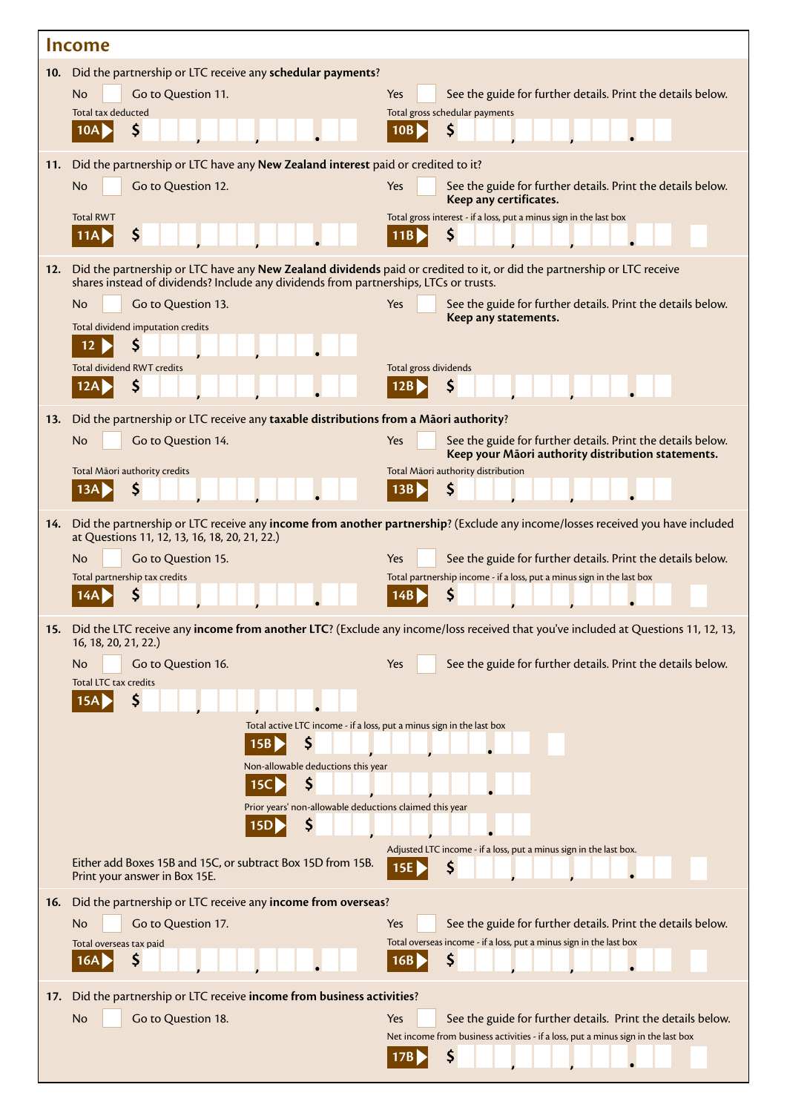|     | <b>Income</b>                                                                                                                                                                                                    |                                                                                                                                                         |
|-----|------------------------------------------------------------------------------------------------------------------------------------------------------------------------------------------------------------------|---------------------------------------------------------------------------------------------------------------------------------------------------------|
|     | 10. Did the partnership or LTC receive any schedular payments?<br><b>No</b><br>Go to Question 11.                                                                                                                | See the guide for further details. Print the details below.<br>Yes                                                                                      |
|     | Total tax deducted<br>Ş<br>10A                                                                                                                                                                                   | Total gross schedular payments<br>S<br>10B                                                                                                              |
|     |                                                                                                                                                                                                                  |                                                                                                                                                         |
| 11. | Did the partnership or LTC have any New Zealand interest paid or credited to it?<br>Go to Question 12.<br>No                                                                                                     | Yes<br>See the guide for further details. Print the details below.                                                                                      |
|     | <b>Total RWT</b>                                                                                                                                                                                                 | Keep any certificates.<br>Total gross interest - if a loss, put a minus sign in the last box                                                            |
|     | \$<br>11A                                                                                                                                                                                                        | \$<br>11B                                                                                                                                               |
| 12. | Did the partnership or LTC have any New Zealand dividends paid or credited to it, or did the partnership or LTC receive<br>shares instead of dividends? Include any dividends from partnerships, LTCs or trusts. |                                                                                                                                                         |
|     | <b>No</b><br>Go to Question 13.                                                                                                                                                                                  | Yes<br>See the guide for further details. Print the details below.<br>Keep any statements.                                                              |
|     | Total dividend imputation credits<br>12                                                                                                                                                                          |                                                                                                                                                         |
|     | <b>Total dividend RWT credits</b>                                                                                                                                                                                | Total gross dividends                                                                                                                                   |
|     | S                                                                                                                                                                                                                |                                                                                                                                                         |
| 13. | Did the partnership or LTC receive any taxable distributions from a Māori authority?<br>Go to Question 14.<br>No                                                                                                 | See the guide for further details. Print the details below.<br>Yes                                                                                      |
|     |                                                                                                                                                                                                                  | Keep your Māori authority distribution statements.                                                                                                      |
|     | Total Māori authority credits<br>\$<br>13A                                                                                                                                                                       | Total Māori authority distribution<br>\$<br>13B                                                                                                         |
| 14. |                                                                                                                                                                                                                  | Did the partnership or LTC receive any income from another partnership? (Exclude any income/losses received you have included                           |
|     | at Questions 11, 12, 13, 16, 18, 20, 21, 22.)                                                                                                                                                                    |                                                                                                                                                         |
|     | No<br>Go to Question 15.<br>Total partnership tax credits                                                                                                                                                        | Yes<br>See the guide for further details. Print the details below.<br>Total partnership income - if a loss, put a minus sign in the last box            |
|     |                                                                                                                                                                                                                  | S                                                                                                                                                       |
|     | 16, 18, 20, 21, 22.)                                                                                                                                                                                             | 15. Did the LTC receive any income from another LTC? (Exclude any income/loss received that you've included at Questions 11, 12, 13,                    |
|     | Go to Question 16.<br>No                                                                                                                                                                                         | Yes<br>See the guide for further details. Print the details below.                                                                                      |
|     | Total LTC tax credits<br>\$<br>15A                                                                                                                                                                               |                                                                                                                                                         |
|     | Total active LTC income - if a loss, put a minus sign in the last box                                                                                                                                            |                                                                                                                                                         |
|     | \$<br>15B<br>Non-allowable deductions this year                                                                                                                                                                  |                                                                                                                                                         |
|     | \$<br>15C                                                                                                                                                                                                        |                                                                                                                                                         |
|     | Prior years' non-allowable deductions claimed this year<br>\$                                                                                                                                                    |                                                                                                                                                         |
|     | 15D                                                                                                                                                                                                              | Adjusted LTC income - if a loss, put a minus sign in the last box.                                                                                      |
|     | Either add Boxes 15B and 15C, or subtract Box 15D from 15B.<br>Print your answer in Box 15E.                                                                                                                     | \$<br>15E                                                                                                                                               |
| 16. | Did the partnership or LTC receive any income from overseas?                                                                                                                                                     |                                                                                                                                                         |
|     | Go to Question 17.<br>No<br>Total overseas tax paid                                                                                                                                                              | Yes<br>See the guide for further details. Print the details below.<br>Total overseas income - if a loss, put a minus sign in the last box               |
|     | Ş<br>16A                                                                                                                                                                                                         | \$<br>16B                                                                                                                                               |
| 17. | Did the partnership or LTC receive income from business activities?                                                                                                                                              |                                                                                                                                                         |
|     | No<br>Go to Question 18.                                                                                                                                                                                         | Yes<br>See the guide for further details. Print the details below.<br>Net income from business activities - if a loss, put a minus sign in the last box |
|     |                                                                                                                                                                                                                  | \$<br>17B                                                                                                                                               |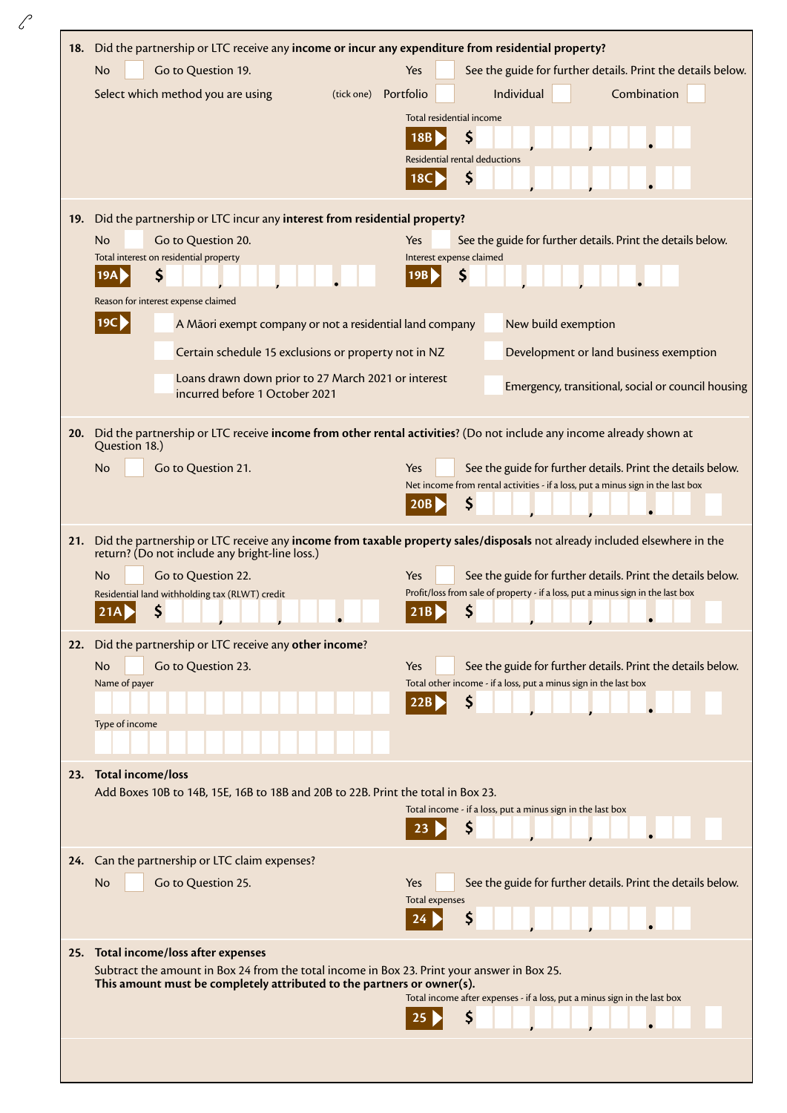| 18. | Did the partnership or LTC receive any income or incur any expenditure from residential property?<br>Go to Question 19.<br><b>No</b><br>Select which method you are using<br>(tick one)                                                                                                                                                                                                                                         | Yes<br>See the guide for further details. Print the details below.<br>Combination<br>Portfolio<br>Individual<br>Total residential income<br>\$<br>18B<br>Residential rental deductions<br>S<br>18C I                                                                                            |
|-----|---------------------------------------------------------------------------------------------------------------------------------------------------------------------------------------------------------------------------------------------------------------------------------------------------------------------------------------------------------------------------------------------------------------------------------|-------------------------------------------------------------------------------------------------------------------------------------------------------------------------------------------------------------------------------------------------------------------------------------------------|
| 19. | Did the partnership or LTC incur any interest from residential property?<br><b>No</b><br>Go to Question 20.<br>Total interest on residential property<br>\$<br>19A<br>Reason for interest expense claimed<br> 19C <br>A Māori exempt company or not a residential land company<br>Certain schedule 15 exclusions or property not in NZ<br>Loans drawn down prior to 27 March 2021 or interest<br>incurred before 1 October 2021 | See the guide for further details. Print the details below.<br>Yes<br>Interest expense claimed<br>\$<br>19B<br>New build exemption<br>Development or land business exemption<br>Emergency, transitional, social or council housing                                                              |
| 20. | Did the partnership or LTC receive income from other rental activities? (Do not include any income already shown at<br>Question 18.)<br>Go to Question 21.<br><b>No</b>                                                                                                                                                                                                                                                         | See the guide for further details. Print the details below.<br>Yes<br>Net income from rental activities - if a loss, put a minus sign in the last box<br>\$<br>20B                                                                                                                              |
| 21. | return? (Do not include any bright-line loss.)<br>Go to Question 22.<br>No.<br>Residential land withholding tax (RLWT) credit<br>\$<br>21A                                                                                                                                                                                                                                                                                      | Did the partnership or LTC receive any income from taxable property sales/disposals not already included elsewhere in the<br>See the guide for further details. Print the details below.<br>Yes<br>Profit/loss from sale of property - if a loss, put a minus sign in the last box<br>\$<br>21B |
|     | 22. Did the partnership or LTC receive any other income?<br>Go to Question 23.<br><b>No</b><br>Name of payer<br>Type of income                                                                                                                                                                                                                                                                                                  | Yes<br>See the guide for further details. Print the details below.<br>Total other income - if a loss, put a minus sign in the last box<br>\$                                                                                                                                                    |
| 23. | <b>Total income/loss</b><br>Add Boxes 10B to 14B, 15E, 16B to 18B and 20B to 22B. Print the total in Box 23.                                                                                                                                                                                                                                                                                                                    | Total income - if a loss, put a minus sign in the last box<br>\$                                                                                                                                                                                                                                |
|     | 24. Can the partnership or LTC claim expenses?<br>Go to Question 25.<br><b>No</b>                                                                                                                                                                                                                                                                                                                                               | Yes<br>See the guide for further details. Print the details below.<br><b>Total expenses</b><br>Ş<br>24                                                                                                                                                                                          |
|     | 25. Total income/loss after expenses<br>Subtract the amount in Box 24 from the total income in Box 23. Print your answer in Box 25.<br>This amount must be completely attributed to the partners or owner(s).                                                                                                                                                                                                                   | Total income after expenses - if a loss, put a minus sign in the last box<br>\$                                                                                                                                                                                                                 |
|     |                                                                                                                                                                                                                                                                                                                                                                                                                                 |                                                                                                                                                                                                                                                                                                 |

 $\mathscr{C}$